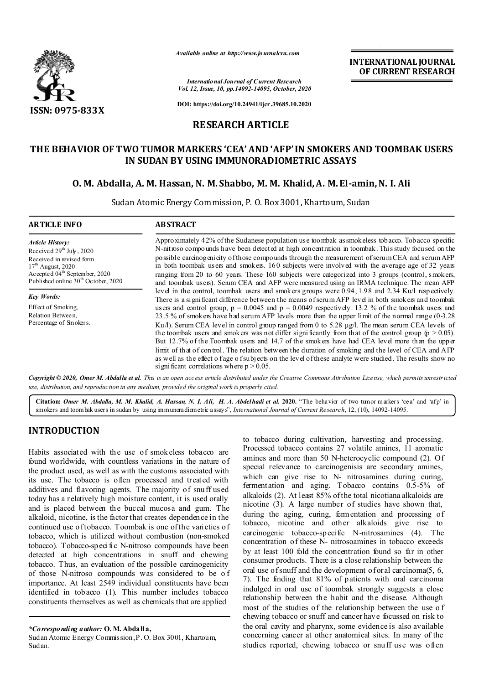

*Available online at http://www.journalcra.com*

**INTERNATIONAL JOURNAL OF CURRENT RESEARCH**

*International Journal of Current Research Vol. 12, Issue, 10, pp.14092-14095, October, 2020*

**DOI: https://doi.org/10.24941/ijcr.39685.10.2020**

## **RESEARCH ARTICLE**

# **THE BEHAVIOR OF TWO TUMOR MARKERS 'CEA' AND 'AFP' IN SMOKERS AND TOOMBAK USERS IN SUDAN BY USING IMMUNORADIOMETRIC ASSAYS**

### **O. M. Abdalla, A. M. Hassan, N. M. Shabbo, M. M. Khalid, A. M. El-amin, N. I. Ali**

Sudan Atomic Energy Commission, P. O. Box 3001, Khartoum, Sudan

| <b>ARTICLE INFO</b>                                                                                                                                                                                      | <b>ABSTRACT</b>                                                                                                                                                                                                                                                                                                                                                                                                                                                                                                                                                                                                                                                                                                                                                                                                                                                                                                                                                                                                           |  |  |
|----------------------------------------------------------------------------------------------------------------------------------------------------------------------------------------------------------|---------------------------------------------------------------------------------------------------------------------------------------------------------------------------------------------------------------------------------------------------------------------------------------------------------------------------------------------------------------------------------------------------------------------------------------------------------------------------------------------------------------------------------------------------------------------------------------------------------------------------------------------------------------------------------------------------------------------------------------------------------------------------------------------------------------------------------------------------------------------------------------------------------------------------------------------------------------------------------------------------------------------------|--|--|
| <b>Article History:</b><br>Received $29th$ July, 2020<br>Received in revised form<br>$17th$ August, 2020<br>Accepted 04 <sup>th</sup> September, 2020<br>Published online 30 <sup>th</sup> October, 2020 | Approximately 42% of the Sudanese population use toombak as smokeless tobacco. Tobacco specific<br>N-nit roso compounds have been detected at high concentration in toombak. This study focused on the<br>possible carcinogenicity of those compounds through the measurement of serum CEA and serum AFP<br>in both toombak users and smokers. 160 subjects were involved with the average age of 32 years<br>ranging from 20 to 60 years. These 160 subjects were categorized into 3 groups (control, smokers,<br>and toombak users). Serum CEA and AFP were measured using an IRMA technique. The mean AFP                                                                                                                                                                                                                                                                                                                                                                                                              |  |  |
| <b>Key Words:</b><br>Effect of Smoking,<br>Relation Between,<br>Percentage of Smokers.                                                                                                                   | level in the control, toombak users and smokers groups were 0.94, 1.98 and 2.34 Ku/l respectively.<br>There is a significant difference between the means of serum AFP level in both smokers and toombak<br>users and control group, $p = 0.0045$ and $p = 0.0049$ respectively. 13.2 % of the toombak users and<br>23.5 % of smokers have had serum AFP levels more than the upper limit of the normal range (0-3.28)<br>Ku $\Lambda$ ). Serum CEA level in control group ranged from 0 to 5.28 $\mu$ g/l. The mean serum CEA levels of<br>the toombak users and smokers was not differ significantly from that of the control group ( $p > 0.05$ ).<br>But 12.7% of the Toombak users and 14.7 of the smokers have had CEA level more than the upper<br>limit of that of control. The relation between the duration of smoking and the level of CEA and AFP<br>as well as the effect o fage o f subjects on the level of these analyte were studied. The results show no<br>significant correlations where $p > 0.05$ . |  |  |

Copyright © 2020, Omer M. Abdalla et al. This is an open access article distributed under the Creative Commons Attribution License, which permits unrestricted *use, distribution, and reproduction in any medium, provided the original work is properly cited.*

**Citation:** *Omer M. Abdalla, M. M. Khalid, A. Hassan, N. I. Ali, H. A. Abdelhadi et al.* **2020.** "The behavior of two tumor m arkers 'cea' and 'afp' in smokers and toombak users in sudan by using immunoradiometric assays", *International Journal of Current Research*, 12, (10), 14092-14095.

## **INTRODUCTION**

Habits associated with the use of smokeless tobacco are found worldwide, with countless variations in the nature of the product used, as well as with the customs associated with its use. The tobacco is often processed and treated with additives and flavoring agents. The majority of snuff used today has a relatively high moisture content, it is used orally and is placed between the buccal mucosa and gum. The alkaloid, nicotine, is the factor that creates dependence in the continued use of tobacco. Toombak is one of the varieties of tobacco, which is utilized without combustion (non-smoked tobacco). Tobacco-specific N-nitroso compounds have been detected at high concentrations in snuff and chewing tobacco. Thus, an evaluation of the possible carcinogenicity of those N-nitroso compounds was considered to be o f importance. At least 2549 individual constituents have been identified in tobacco (1). This number includes tobacco constituents themselves as well as chemicals that are applied

to tobacco during cultivation, harvesting and processing. Processed tobacco contains 27 volatile amines, 11 aromatic amines and more than 50 N-heterocyclic compound (2). Of special relevance to carcinogenisis are secondary amines, which can give rise to N- nitrosamines during curing, fermentation and aging. Tobacco contains 0.5-5% of alkaloids (2). At least 85% of the total nicotiana alkaloids are nicotine (3). A large number of studies have shown that, during the aging, curing, fermentation and processing of tobacco, nicotine and other alkaloids give rise to carcinogenic tobacco-specific N-nitrosamines (4). The concentration of these N- nitrosoamines in tobacco exceeds by at least 100 fold the concentration found so far in other consumer products. There is a close relationship between the oral use of snuff and the development of oral carcinoma(5, 6, 7). The finding that 81% of patients with oral carcinoma indulged in oral use of toombak strongly suggests a close relationship between the habit and the disease. Although most of the studies of the relationship between the use o f chewing tobacco or snuff and cancer have focussed on risk to the oral cavity and pharynx, some evidence is also available concerning cancer at other anatomical sites. In many of the studies reported, chewing tobacco or snuff use was often

*<sup>\*</sup>Corresponding author:* **O. M. Abdalla,** Sudan Atomic Energy Commission, P. O. Box 3001, Khartoum, Sudan.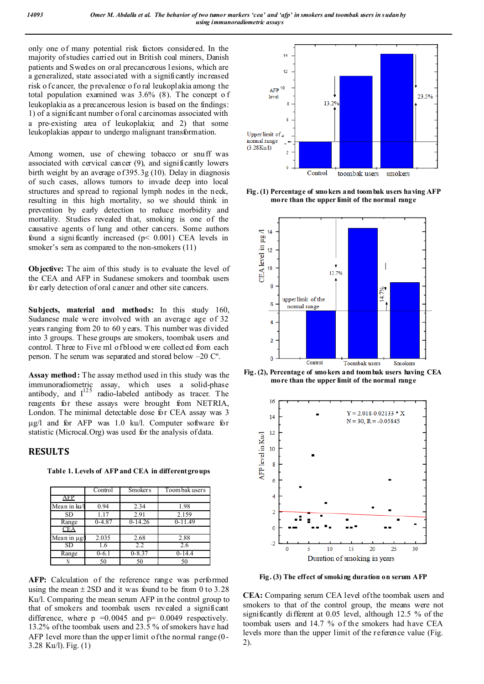only one of many potential risk factors considered. In the majority of studies carried out in British coal miners, Danish patients and Swedes on oral precancerous l esions, which are a generalized, state associated with a significantly increased risk o f cancer, the p revalence o f o ral leukoplakia among the total population examined was 3.6% (8). The concept o f leukoplakia as a precancerous lesion is based on the findings: 1) of a significant number of oral carcinomas associated with a pre-existing area of leukoplakia; and 2) that some leukoplakias appear to undergo malignant transformation.

Among women, use of chewing tobacco or snuff was associated with cervical cancer (9), and significantly lowers birth weight by an average of 395.3g (10). Delay in diagnosis of such cases, allows tumors to invade deep into local structures and spread to regional lymph nodes in the neck, resulting in this high mortality, so we should think in prevention by early detection to reduce morbidity and mortality. Studies revealed that, smoking is one of the causative agents of lung and other cancers. Some authors found a significantly increased  $(p< 0.001)$  CEA levels in smoker's sera as compared to the non-smokers  $(11)$ 

**Objective:** The aim of this study is to evaluate the level of the CEA and AFP in Sudanese smokers and toombak users for early detection of oral cancer and other site cancers.

**Subjects, material and methods:** In this study 160, Sudanese male were involved with an average age of 32 years ranging from 20 to 60 years. This number was divided into 3 groups. T hese groups are smokers, toombak users and control. T hree to Five ml of blood w ere collected from each person. T he serum was separated and stored below –20 Cº.

**Assay method:** The assay method used in this study was the immunoradiometric assay, which uses a solid-phase antibody, and  $I^{125}$  radio-labeled antibody as tracer. The reagents for these assays were brought from NETRIA, London. The minimal detectable dose for CEA assay was 3  $\mu$ g/l and for AFP was 1.0 ku/l. Computer software for statistic (Microcal.Org) was used for the analysis of data.

#### **RESULTS**

**Table 1. Levels of AFP and CEA in different groups**

|                                      | Control   | <b>Smokers</b> | Toom bak users |
|--------------------------------------|-----------|----------------|----------------|
| AFP                                  |           |                |                |
| Mean in ku/l                         | 0.94      | 2.34           | 1.98           |
| SD.                                  | 1.17      | 2.91           | 2.159          |
| Range                                | $0-4.87$  | $0-14.26$      | $0-11.49$      |
| <b>CEA</b>                           |           |                |                |
| $\overline{\text{Mean}}$ in $\mu$ g/ | 2.035     | 2.68           | 2.88           |
| SD                                   | 1.6       | 2.2            | 2.6            |
| Range                                | $0 - 6.1$ | $0 - 8.37$     | $0-14.4$       |
|                                      | 50        | 50             | 50             |

AFP: Calculation of the reference range was performed using the mean  $\pm$  2SD and it was found to be from 0 to 3.28 Ku/l. Comparing the mean serum AFP in the control group to that of smokers and toombak users revealed a significant difference, where  $p = 0.0045$  and  $p = 0.0049$  respectively. 13.2% of the toombak users and 23.5 % of smokers have had AFP level more than the upp er limit of the normal range (0- 3.28 Ku/l). Fig. (1)



**Fig. (1) Percentage of smokers and toombak users having AFP more than the upper limit of the normal range**



**Fig. (2), Percentage of smokers and toombak users having CEA more than the upper limit of the normal range**



**Fig. (3) The effect of smoking duration on serum AFP**

**CEA:** Comparing serum CEA level of the toombak users and smokers to that of the control group, the means were not significantly different at 0.05 level, although 12.5 % of the toombak users and 14.7 % of the smokers had have CEA levels more than the upper limit of the reference value (Fig. 2).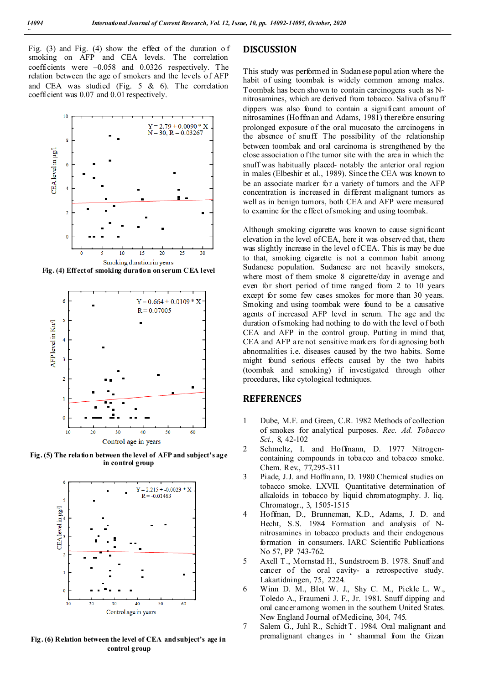Fig. (3) and Fig. (4) show the effect of the duration o f smoking on AFP and CEA levels. The correlation coefficients were –0.058 and 0.0326 respectively. The relation between the age of smokers and the levels of AFP and CEA was studied (Fig. 5 & 6). The correlation coefficient was 0.07 and 0.01 respectively.



**Fig. (4) Eff ect of smoking duration on serum CEA level**



**Fig. (5) The relation between the level of AFP and subject's age in control group**



**Fig. (6) Relation between the level of CEA and subject's age in control group**

#### **DISCUSSION**

This study was performed in Sudanese popul ation where the habit of using toombak is widely common among males. Toombak has been shown to contain carcinogens such as Nnitrosamines, which are derived from tobacco. Saliva of snuff dippers was also found to contain a significant amount of nitrosamines (Hoffman and Adams, 1981) therefore ensuring prolonged exposure of the oral mucosato the carcinogens in the absence of snuff. The possibility of the relationship between toombak and oral carcinoma is strengthened by the close association o f the tumor site with the area in which the snuff was habitually placed- notably the anterior oral region in males (Elbeshir et al., 1989). Since the CEA was known to be an associate marker for a variety of tumors and the AFP concentration is increased in different malignant tumors as well as in benign tumors, both CEA and AFP were measured to examine for the effect of smoking and using toombak.

Although smoking cigarette was known to cause signi ficant elevation in the level of CEA, here it was observed that, there was slightly increase in the level of CEA. This is may be due to that, smoking cigarette is not a common habit among Sudanese population. Sudanese are not heavily smokers, where most of them smoke 8 cigarette/day in average and even for short period of time ranged from 2 to 10 years except for some few cases smokes for more than 30 years. Smoking and using toombak were found to be a causative agents of increased AFP level in serum. The age and the duration of smoking had nothing to do with the level of both CEA and AFP in the control group. Putting in mind that, CEA and AFP are not sensitive markers for di agnosing both abnormalities i.e. diseases caused by the two habits. Some might found serious effects caused by the two habits (toombak and smoking) if investigated through other procedures, like cytological techniques.

#### **REFERENCES**

- 1 Dube, M.F. and Green, C.R. 1982 Methods of collection of smokes for analytical purposes. *Rec. Ad. Tobacco Sci.,* 8, 42-102
- 2 Schmeltz, I. and Hoffmann, D. 1977 Nitrogencontaining compounds in tobacco and tobacco smoke. Chem. Rev., 77,295-311
- 3 Piade, J.J. and Hoffmann, D. 1980 Chemical studies on tobacco smoke. LXVII. Quantitative determination of alkaloids in tobacco by liquid chromatography. J. liq. Chromatogr., 3, 1505-1515
- 4 Hoffman, D., Brunneman, K.D., Adams, J. D. and Hecht, S.S. 1984 Formation and analysis of Nnitrosamines in tobacco products and their endogenous formation in consumers. IARC Scientific Publications No 57, PP 743-762.
- 5 Axell T., Mornstad H., Sundstroem B. 1978. Snuff and cancer of the oral cavity- a retrospective study. Lakartidningen, 75, 2224.
- 6 Winn D. M., Blot W. J., Shy C. M., Pickle L. W., Toledo A., Fraumeni J. F., Jr. 1981. Snuff dipping and oral cancer among women in the southern United States. New England Journal of Medicine, 304, 745.
- 7 Salem G., Juhl R., Schidt T. 1984. Oral malignant and premalignant changes in ' shammal from the Gizan